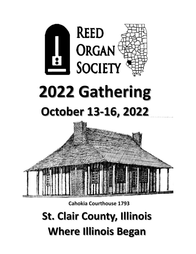

**Cahokia Courthouse 1793** 

**St. Clair County, Illinois Where Illinois Began**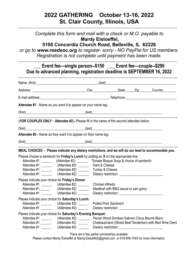## **2022 GATHERING October 13-16, 2022 St. Clair County, Illinois, USA**

*Complete this form and mail with a check or M.O. payable to* **Mardy Eisloeffel,** 

**…………………………………………………………………………………………………………………………………….**

**5108 Concordia Church Road, Belleville, IL 62226**

*or go to [www.reedsoc.org](http://www.reedsoc.org/) to register- sorry - NO PayPal for US members. Registration is not complete until payment has been made.* 

| Due to advanced planning, registration deadline is SEPTEMBER 16, 2022 |                                                                                                                   |                 |                                      |  |                                                           |  |
|-----------------------------------------------------------------------|-------------------------------------------------------------------------------------------------------------------|-----------------|--------------------------------------|--|-----------------------------------------------------------|--|
|                                                                       |                                                                                                                   |                 |                                      |  |                                                           |  |
|                                                                       | Address: ________________________________City:______________State:_____Zip:______Country:__________               |                 |                                      |  |                                                           |  |
|                                                                       |                                                                                                                   |                 |                                      |  |                                                           |  |
|                                                                       | Attendee #1 - Name as you want it to appear on your name tag:                                                     |                 |                                      |  |                                                           |  |
|                                                                       |                                                                                                                   |                 |                                      |  |                                                           |  |
|                                                                       | (FOR COUPLES ONLY - Attendee #2)--Please fill in the name of the second attendee below:                           |                 |                                      |  |                                                           |  |
|                                                                       |                                                                                                                   |                 |                                      |  |                                                           |  |
|                                                                       | ${\sf (first)} \hspace{20pt}$                                                                                     |                 |                                      |  |                                                           |  |
|                                                                       | Attendee #2 - Name as they want it to appear on their name tag:                                                   |                 |                                      |  |                                                           |  |
|                                                                       |                                                                                                                   |                 |                                      |  |                                                           |  |
|                                                                       | $(\textsf{first})$                                                                                                |                 |                                      |  |                                                           |  |
|                                                                       |                                                                                                                   |                 |                                      |  |                                                           |  |
|                                                                       | MEAL CHOICES - Please indicate any dietary restrictions, and we will do our best to accommodate you.              |                 |                                      |  |                                                           |  |
|                                                                       | Please choose a sandwich for Friday's Lunch by putting an X on the appropriate line:                              |                 |                                      |  |                                                           |  |
|                                                                       | Attendee #1 __________ (Attendee #2) _________ Tomato Bisque Soup & choice of sandwich                            |                 |                                      |  |                                                           |  |
|                                                                       | Attendee #1 _____________ (Attendee #2) _______________ Ham & Cheese                                              |                 |                                      |  |                                                           |  |
|                                                                       | Attendee #1 ___________ (Attendee #2) __________ Turkey & Cheese<br>Attendee #1 ___________ (Attendee #2) _______ |                 |                                      |  |                                                           |  |
|                                                                       |                                                                                                                   |                 |                                      |  |                                                           |  |
|                                                                       | Please indicate your choice for Friday's Dinner:                                                                  | Chicken Alfredo |                                      |  |                                                           |  |
|                                                                       | Attendee #1 __________ (Attendee #2) _______                                                                      |                 | Meatloaf with BBQ sauce or pan gravy |  |                                                           |  |
|                                                                       | Attendee #1 __________ (Attendee #2) _______<br>Attendee #1 ___________ (Attendee #2) _______                     |                 |                                      |  |                                                           |  |
|                                                                       |                                                                                                                   |                 |                                      |  |                                                           |  |
|                                                                       | Please indicate your choice for Saturday's Lunch:                                                                 |                 |                                      |  |                                                           |  |
| Attendee #1                                                           | Attendee #1 __________ (Attendee #2) _______<br>$(Att$ endee #2 $)$ _______                                       |                 | Pulled Pork Sandwich                 |  |                                                           |  |
|                                                                       |                                                                                                                   |                 |                                      |  |                                                           |  |
|                                                                       | Please indicate your choice for Saturday's Evening Banquet:                                                       |                 |                                      |  |                                                           |  |
| Attendee #1                                                           | $(Att$ endee #2 $)$ ________                                                                                      |                 |                                      |  | Chateaubriand (Sliced Beef Tenderloin) with Red Wine Demi |  |

Please contact Mardy Eisloeffel a[t Mardy.Eisloeffel2@gmail.com](mailto:Mardy.Eisloeffel2@gmail.com) or 618-606-7493 for more information.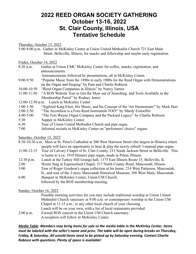### **2022 REED ORGAN SOCIETY GATHERING October 13-16, 2022 St. Clair County, Illinois, USA Tentative Schedule**

Thursday, October 13, 2022

5:00-8:00 p.m. Gather in McKinley Center at Union United Methodist Church 721 East Main Street, Belleville, Illinois, for snacks and fellowship and maybe early registration.

#### Friday, October 14, 2022

- 8:30 a.m. Gather at Union UMC McKinley Center for coffee, snacks, registration, and announcements.
	- Announcements followed by presentations, all in McKinley Center.
- 9:00-9:50 "Popular Music from the 1890s to early 1900s for the Reed Organ with Demonstrations on the Organ and Singing" by Pam and Charlie Robison
- 10:00-10:50 "Reed Organ Companies in Illinois" by Nancy Varner
- 11:00-11:50 "A ROS Website Tour to Get the Most out of Searching, and Tools Available in the Membership Portal" by Rodney Jantzi
- 12:00-12:50 p.m. Lunch in McKinley Center
- 1:00-1:50 "Sigfried Karg-Elert, His Music, and his Concept of the 'Art Harmonium'" by Mark Herr
- 2:00-2:50 "The Accordion is a Free-Reed Instrument TOO!" by Mardy Eisloeffel
- 4:00-5:00 "The Fort Wayne Organ Company and the Packard Legacy" by Charlie Robison
- 5:30 Supper in McKinley Center.
- 6:30 Tour of Union United Methodist Church and pipe organ.
- 7:00 Informal recitals in McKinley Center on "performers' choice" organs.

Saturday, October 15, 2022

8:30-10:30 a.m. Meet at St. Peter's Cathedral at 200 West Harrison Street (the largest in Illinois) where people will have an opportunity to hear & play the newly-rebuilt 3-manual pipe organ.

- 11:00-12:15 Tour of Calvary Chapel of St. Clair County, 215 South Jackson Street in Belleville. This is home to a ca. 1910 Hinners pipe organ, made in Pekin, Illinois.
- 12:30 p.m. Lunch at the Turkey Hill Grange hall, 1375 East Illinois Route 15, Belleville, IL
- 2:00 Hymn Sing at Espenschied Chapel, 317 North County Road, Mascoutah, Illinois
- 3:00 Tour of Roger Grodeon's organ collection at his home, 214 West Patterson, Mascoutah, IL, and tour of the 3-story Mascoutah Historical Museum, 306 West Main, Mascoutah.
- 6:00 Banquet in McKinley Center, Union UM Church, followed by the ROS membership meeting.

#### Sunday, October 16, 2022

|             | Possible morning activities for you may include traditional worship at Union United |
|-------------|-------------------------------------------------------------------------------------|
|             | Methodist Church sanctuary at 9:00 a.m. or contemporary worship in the Union UM     |
|             | Chapel at 11:15 a.m., or any other local church of your choosing.                   |
|             | Lunch will be on your own, with a list of local restaurants provided.               |
| $2:00$ p.m. | Formal ROS concert in the Union UM Church sanctuary.                                |
|             | A reception will follow in McKinley Center.                                         |

*Media Table: Members may bring items for sale to the media table in the McKinley Center. Items must be labeled with the seller's name and price. The table will be open during breaks on Thursday, Friday, & Saturday. All unsold items need to be picked up by Saturday evening. Contact Charlie Robison with questions. Plenty of space is available!*